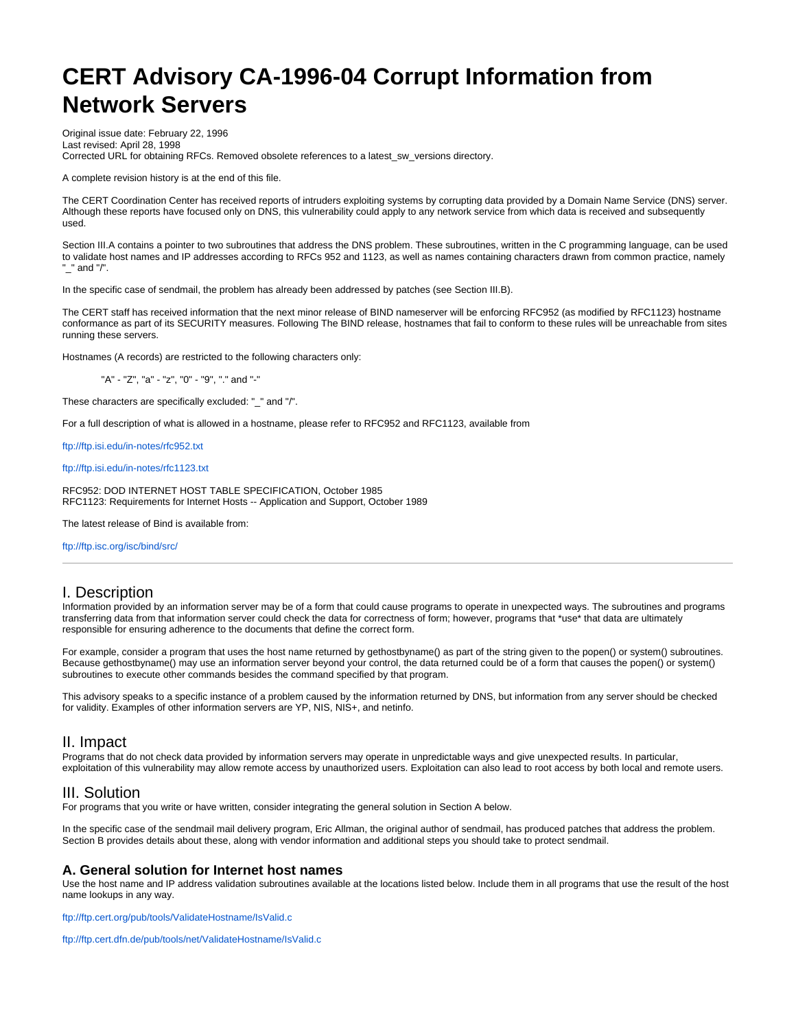# **CERT Advisory CA-1996-04 Corrupt Information from Network Servers**

Original issue date: February 22, 1996 Last revised: April 28, 1998 Corrected URL for obtaining RFCs. Removed obsolete references to a latest\_sw\_versions directory.

A complete revision history is at the end of this file.

The CERT Coordination Center has received reports of intruders exploiting systems by corrupting data provided by a Domain Name Service (DNS) server. Although these reports have focused only on DNS, this vulnerability could apply to any network service from which data is received and subsequently used.

Section III.A contains a pointer to two subroutines that address the DNS problem. These subroutines, written in the C programming language, can be used to validate host names and IP addresses according to RFCs 952 and 1123, as well as names containing characters drawn from common practice, namely  $"$  and  $"$ .

In the specific case of sendmail, the problem has already been addressed by patches (see Section III.B).

The CERT staff has received information that the next minor release of BIND nameserver will be enforcing RFC952 (as modified by RFC1123) hostname conformance as part of its SECURITY measures. Following The BIND release, hostnames that fail to conform to these rules will be unreachable from sites running these servers.

Hostnames (A records) are restricted to the following characters only:

"A" - "Z", "a" - "z", "0" - "9", "." and "-"

These characters are specifically excluded: "\_" and "/".

For a full description of what is allowed in a hostname, please refer to RFC952 and RFC1123, available from

<ftp://ftp.isi.edu/in-notes/rfc952.txt>

<ftp://ftp.isi.edu/in-notes/rfc1123.txt>

RFC952: DOD INTERNET HOST TABLE SPECIFICATION, October 1985 RFC1123: Requirements for Internet Hosts -- Application and Support, October 1989

The latest release of Bind is available from:

<ftp://ftp.isc.org/isc/bind/src/>

# I. Description

Information provided by an information server may be of a form that could cause programs to operate in unexpected ways. The subroutines and programs transferring data from that information server could check the data for correctness of form; however, programs that \*use\* that data are ultimately responsible for ensuring adherence to the documents that define the correct form.

For example, consider a program that uses the host name returned by gethostbyname() as part of the string given to the popen() or system() subroutines. Because gethostbyname() may use an information server beyond your control, the data returned could be of a form that causes the popen() or system() subroutines to execute other commands besides the command specified by that program.

This advisory speaks to a specific instance of a problem caused by the information returned by DNS, but information from any server should be checked for validity. Examples of other information servers are YP, NIS, NIS+, and netinfo.

# II. Impact

Programs that do not check data provided by information servers may operate in unpredictable ways and give unexpected results. In particular, exploitation of this vulnerability may allow remote access by unauthorized users. Exploitation can also lead to root access by both local and remote users.

# III. Solution

For programs that you write or have written, consider integrating the general solution in Section A below.

In the specific case of the sendmail mail delivery program, Eric Allman, the original author of sendmail, has produced patches that address the problem. Section B provides details about these, along with vendor information and additional steps you should take to protect sendmail.

# **A. General solution for Internet host names**

Use the host name and IP address validation subroutines available at the locations listed below. Include them in all programs that use the result of the host name lookups in any way.

<ftp://ftp.cert.org/pub/tools/ValidateHostname/IsValid.c>

<ftp://ftp.cert.dfn.de/pub/tools/net/ValidateHostname/IsValid.c>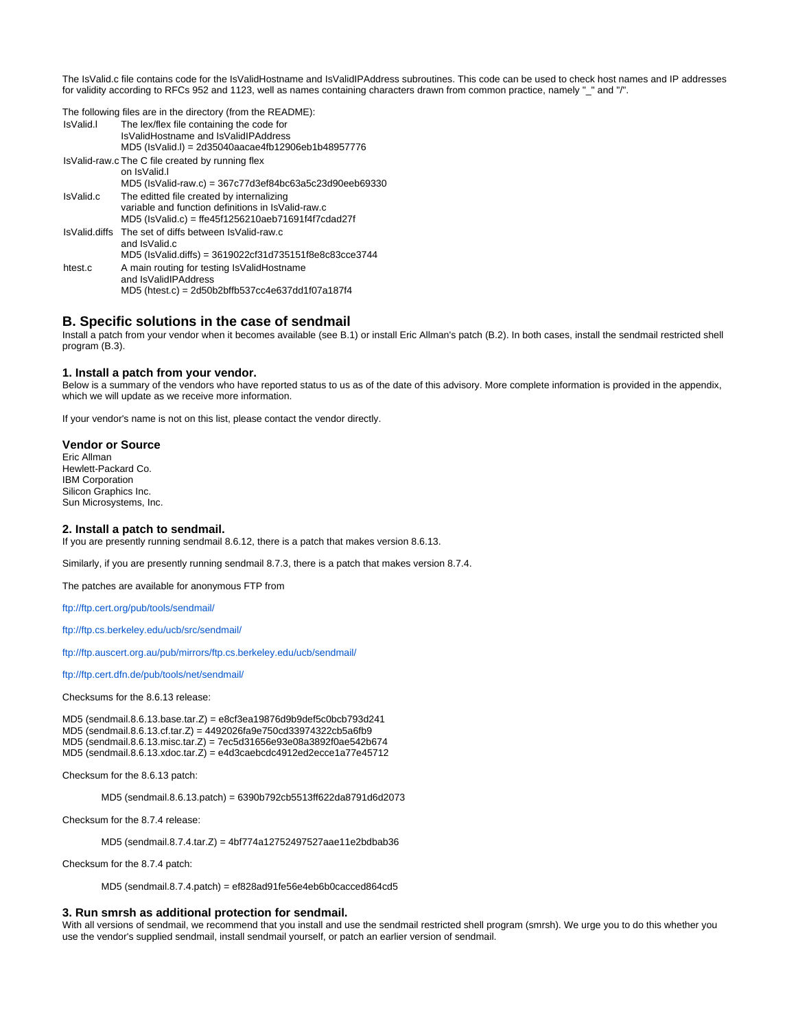The IsValid.c file contains code for the IsValidHostname and IsValidIPAddress subroutines. This code can be used to check host names and IP addresses for validity according to RFCs 952 and 1123, well as names containing characters drawn from common practice, namely "\_" and "/".

| IsValid.  | The following files are in the directory (from the README):<br>The lex/flex file containing the code for<br>IsValidHostname and IsValidIPAddress<br>MD5 (IsValid.I) = 2d35040aacae4fb12906eb1b48957776 |
|-----------|--------------------------------------------------------------------------------------------------------------------------------------------------------------------------------------------------------|
|           | Is Valid-raw.c The C file created by running flex<br>on IsValid.<br>MD5 (IsValid-raw.c) = 367c77d3ef84bc63a5c23d90eeb69330                                                                             |
| IsValid.c | The editted file created by internalizing<br>variable and function definitions in IsValid-raw.c.<br>MD5 (IsValid.c) = ffe45f1256210aeb71691f4f7cdad27f                                                 |
|           | Is Valid diffs The set of diffs between Is Valid-raw.c<br>and IsValid c<br>MD5 (IsValid.diffs) = 3619022cf31d735151f8e8c83cce3744                                                                      |
| htest.c   | A main routing for testing Is Valid Hostname<br>and IsValidIPAddress<br>MD5 (htest.c) = 2d50b2bffb537cc4e637dd1f07a187f4                                                                               |

# **B. Specific solutions in the case of sendmail**

Install a patch from your vendor when it becomes available (see B.1) or install Eric Allman's patch (B.2). In both cases, install the sendmail restricted shell program (B.3).

## **1. Install a patch from your vendor.**

Below is a summary of the vendors who have reported status to us as of the date of this advisory. More complete information is provided in the appendix, which we will update as we receive more information.

If your vendor's name is not on this list, please contact the vendor directly.

#### **Vendor or Source**

Eric Allman Hewlett-Packard Co. IBM Corporation Silicon Graphics Inc. Sun Microsystems, Inc.

## **2. Install a patch to sendmail.**

If you are presently running sendmail 8.6.12, there is a patch that makes version 8.6.13.

Similarly, if you are presently running sendmail 8.7.3, there is a patch that makes version 8.7.4.

The patches are available for anonymous FTP from

<ftp://ftp.cert.org/pub/tools/sendmail/>

<ftp://ftp.cs.berkeley.edu/ucb/src/sendmail/>

<ftp://ftp.auscert.org.au/pub/mirrors/ftp.cs.berkeley.edu/ucb/sendmail/>

<ftp://ftp.cert.dfn.de/pub/tools/net/sendmail/>

Checksums for the 8.6.13 release:

MD5 (sendmail.8.6.13.base.tar.Z) = e8cf3ea19876d9b9def5c0bcb793d241 MD5 (sendmail.8.6.13.cf.tar.Z) = 4492026fa9e750cd33974322cb5a6fb9 MD5 (sendmail.8.6.13.misc.tar.Z) = 7ec5d31656e93e08a3892f0ae542b674 MD5 (sendmail.8.6.13.xdoc.tar.Z) = e4d3caebcdc4912ed2ecce1a77e45712

Checksum for the 8.6.13 patch:

MD5 (sendmail.8.6.13.patch) = 6390b792cb5513ff622da8791d6d2073

Checksum for the 8.7.4 release:

MD5 (sendmail.8.7.4.tar.Z) = 4bf774a12752497527aae11e2bdbab36

Checksum for the 8.7.4 patch:

MD5 (sendmail.8.7.4.patch) = ef828ad91fe56e4eb6b0cacced864cd5

# **3. Run smrsh as additional protection for sendmail.**

With all versions of sendmail, we recommend that you install and use the sendmail restricted shell program (smrsh). We urge you to do this whether you use the vendor's supplied sendmail, install sendmail yourself, or patch an earlier version of sendmail.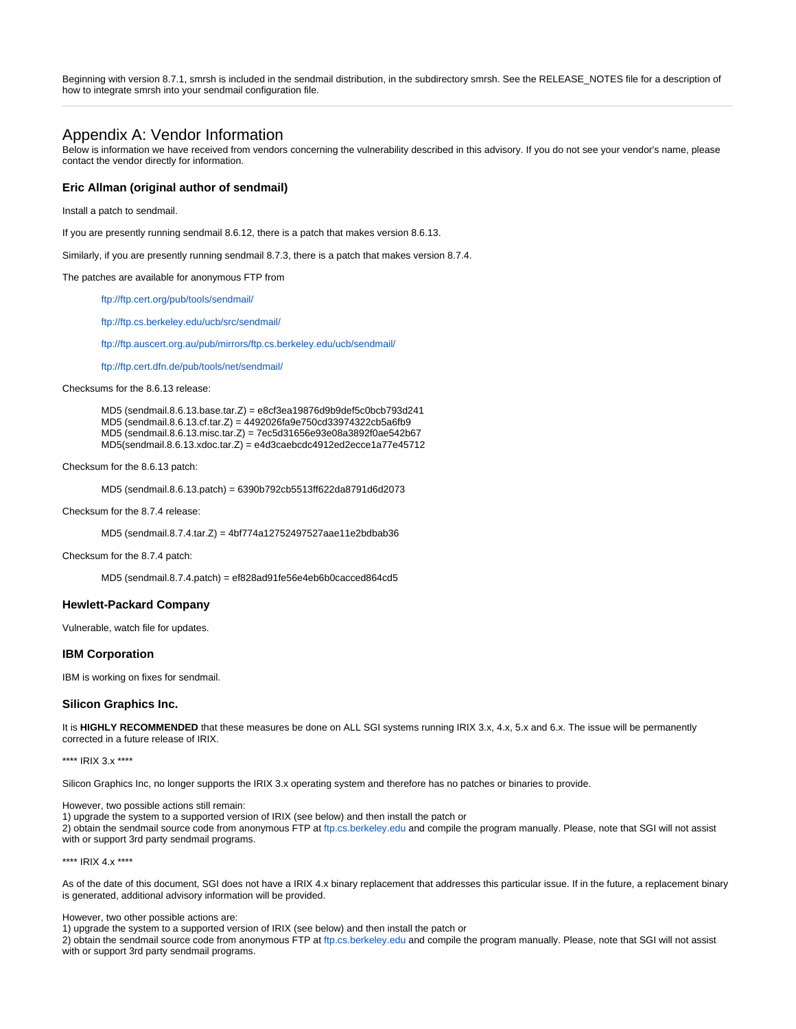Beginning with version 8.7.1, smrsh is included in the sendmail distribution, in the subdirectory smrsh. See the RELEASE\_NOTES file for a description of how to integrate smrsh into your sendmail configuration file.

# Appendix A: Vendor Information

Below is information we have received from vendors concerning the vulnerability described in this advisory. If you do not see your vendor's name, please contact the vendor directly for information.

## **Eric Allman (original author of sendmail)**

Install a patch to sendmail.

If you are presently running sendmail 8.6.12, there is a patch that makes version 8.6.13.

Similarly, if you are presently running sendmail 8.7.3, there is a patch that makes version 8.7.4.

The patches are available for anonymous FTP from

<ftp://ftp.cert.org/pub/tools/sendmail/>

<ftp://ftp.cs.berkeley.edu/ucb/src/sendmail/>

<ftp://ftp.auscert.org.au/pub/mirrors/ftp.cs.berkeley.edu/ucb/sendmail/>

<ftp://ftp.cert.dfn.de/pub/tools/net/sendmail/>

Checksums for the 8.6.13 release:

MD5 (sendmail.8.6.13.base.tar.Z) = e8cf3ea19876d9b9def5c0bcb793d241 MD5 (sendmail.8.6.13.cf.tar.Z) = 4492026fa9e750cd33974322cb5a6fb9 MD5 (sendmail.8.6.13.misc.tar.Z) = 7ec5d31656e93e08a3892f0ae542b67 MD5(sendmail.8.6.13.xdoc.tar.Z) = e4d3caebcdc4912ed2ecce1a77e45712

Checksum for the 8.6.13 patch:

MD5 (sendmail.8.6.13.patch) = 6390b792cb5513ff622da8791d6d2073

Checksum for the 8.7.4 release:

MD5 (sendmail.8.7.4.tar.Z) = 4bf774a12752497527aae11e2bdbab36

Checksum for the 8.7.4 patch:

MD5 (sendmail.8.7.4.patch) = ef828ad91fe56e4eb6b0cacced864cd5

# **Hewlett-Packard Company**

Vulnerable, watch file for updates.

## **IBM Corporation**

IBM is working on fixes for sendmail.

## **Silicon Graphics Inc.**

It is **HIGHLY RECOMMENDED** that these measures be done on ALL SGI systems running IRIX 3.x, 4.x, 5.x and 6.x. The issue will be permanently corrected in a future release of IRIX.

\*\*\*\* IRIX 3.x \*\*\*\*

Silicon Graphics Inc, no longer supports the IRIX 3.x operating system and therefore has no patches or binaries to provide.

However, two possible actions still remain:

1) upgrade the system to a supported version of IRIX (see below) and then install the patch or

2) obtain the sendmail source code from anonymous FTP at [ftp.cs.berkeley.edu](ftp://ftp.cs.berkeley.edu) and compile the program manually. Please, note that SGI will not assist with or support 3rd party sendmail programs.

\*\*\*\* IRIX 4.x \*\*\*\*

As of the date of this document, SGI does not have a IRIX 4.x binary replacement that addresses this particular issue. If in the future, a replacement binary is generated, additional advisory information will be provided.

However, two other possible actions are:

1) upgrade the system to a supported version of IRIX (see below) and then install the patch or

2) obtain the sendmail source code from anonymous FTP at ftp.cs.berkeley.edu and compile the program manually. Please, note that SGI will not assist with or support 3rd party sendmail programs.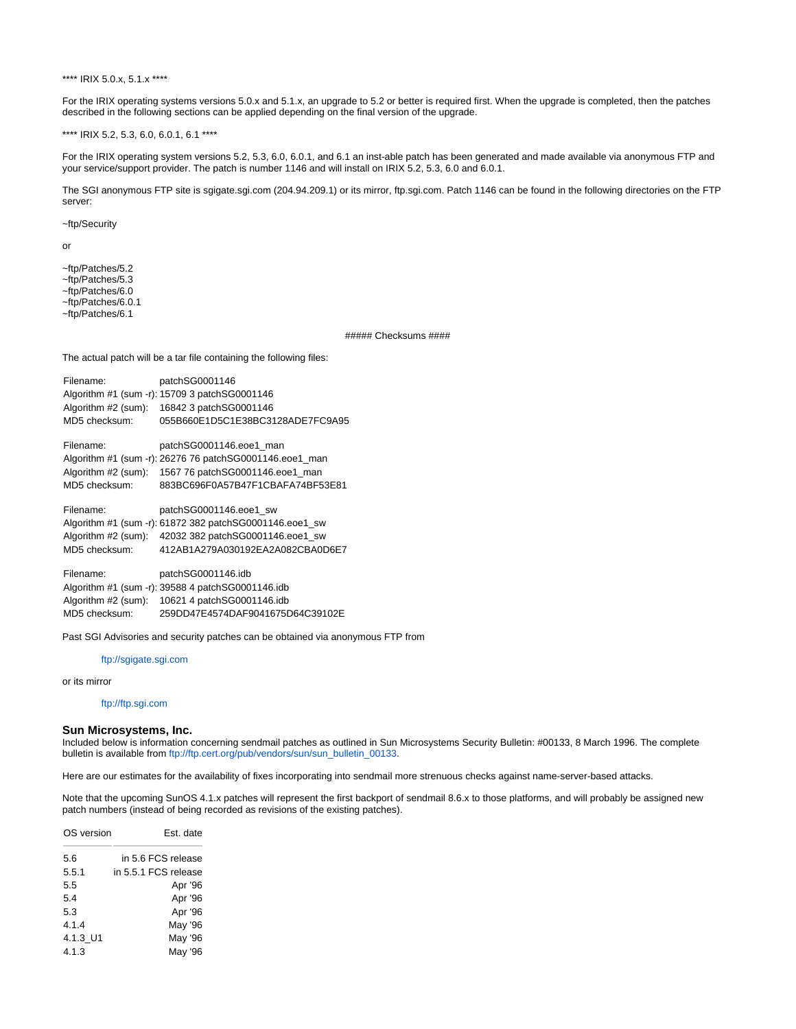\*\*\*\* IRIX 5.0.x, 5.1.x \*\*\*\*

For the IRIX operating systems versions 5.0.x and 5.1.x, an upgrade to 5.2 or better is required first. When the upgrade is completed, then the patches described in the following sections can be applied depending on the final version of the upgrade.

\*\*\*\* IRIX 5.2, 5.3, 6.0, 6.0.1, 6.1 \*\*\*\*

For the IRIX operating system versions 5.2, 5.3, 6.0, 6.0.1, and 6.1 an inst-able patch has been generated and made available via anonymous FTP and your service/support provider. The patch is number 1146 and will install on IRIX 5.2, 5.3, 6.0 and 6.0.1.

The SGI anonymous FTP site is sgigate.sgi.com (204.94.209.1) or its mirror, ftp.sgi.com. Patch 1146 can be found in the following directories on the FTP server:

~ftp/Security

or

~ftp/Patches/5.2 ~ftp/Patches/5.3 ~ftp/Patches/6.0

~ftp/Patches/6.0.1

~ftp/Patches/6.1

##### Checksums ####

The actual patch will be a tar file containing the following files:

| Filename:           | patchSG0001146                                          |
|---------------------|---------------------------------------------------------|
|                     | Algorithm #1 (sum -r): 15709 3 patchSG0001146           |
| Algorithm #2 (sum): | 16842 3 patchSG0001146                                  |
| MD5 checksum:       | 055B660E1D5C1E38BC3128ADE7FC9A95                        |
| Filename:           | patchSG0001146.eoe1 man                                 |
|                     | Algorithm #1 (sum -r): 26276 76 patchSG0001146.eoe1_man |
| Algorithm #2 (sum): | 1567 76 patchSG0001146.eoe1 man                         |
| MD5 checksum:       | 883BC696F0A57B47F1CBAFA74BF53E81                        |
| Filename:           | patchSG0001146.eoe1 sw                                  |
|                     | Algorithm #1 (sum -r): 61872 382 patchSG0001146.eoe1 sw |
| Algorithm #2 (sum): | 42032 382 patchSG0001146.eoe1 sw                        |
| MD5 checksum:       | 412AB1A279A030192EA2A082CBA0D6E7                        |
| Filename:           | patchSG0001146.idb                                      |
|                     | Algorithm #1 (sum -r): 39588 4 patchSG0001146.idb       |
| Algorithm #2 (sum): | 10621 4 patchSG0001146.idb                              |
|                     |                                                         |
| MD5 checksum:       | 259DD47E4574DAF9041675D64C39102E                        |

Past SGI Advisories and security patches can be obtained via anonymous FTP from

<ftp://sgigate.sgi.com>

or its mirror

#### <ftp://ftp.sgi.com>

## **Sun Microsystems, Inc.**

Included below is information concerning sendmail patches as outlined in Sun Microsystems Security Bulletin: #00133, 8 March 1996. The complete bulletin is available from [ftp://ftp.cert.org/pub/vendors/sun/sun\\_bulletin\\_00133](ftp://ftp.cert.org/pub/vendors/sun/sun_bulletin_00133).

Here are our estimates for the availability of fixes incorporating into sendmail more strenuous checks against name-server-based attacks.

Note that the upcoming SunOS 4.1.x patches will represent the first backport of sendmail 8.6.x to those platforms, and will probably be assigned new patch numbers (instead of being recorded as revisions of the existing patches).

| OS version | Est. date            |  |  |
|------------|----------------------|--|--|
| 5.6        | in 5.6 FCS release   |  |  |
| 5.5.1      | in 5.5.1 FCS release |  |  |
| 5.5        | Apr '96              |  |  |
| 5.4        | Apr '96              |  |  |
| 5.3        | Apr '96              |  |  |
| 4.1.4      | May '96              |  |  |
| 4.1.3 U1   | May '96              |  |  |
| 4.1.3      | May '96              |  |  |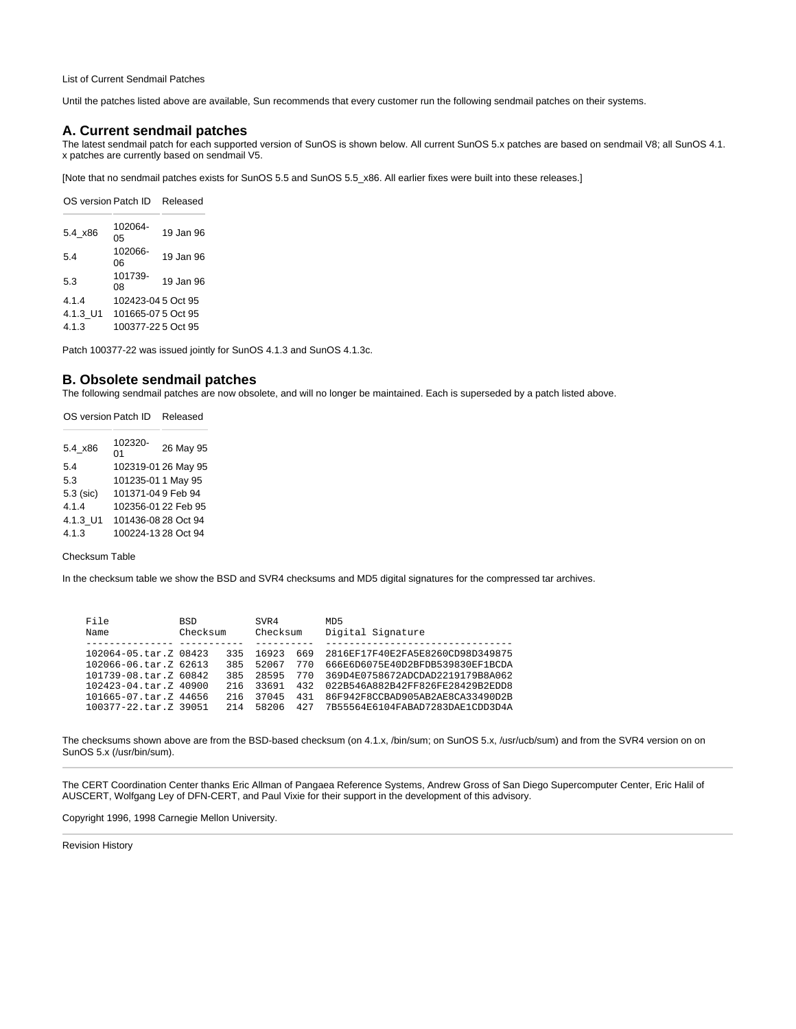List of Current Sendmail Patches

Until the patches listed above are available, Sun recommends that every customer run the following sendmail patches on their systems.

## **A. Current sendmail patches**

The latest sendmail patch for each supported version of SunOS is shown below. All current SunOS 5.x patches are based on sendmail V8; all SunOS 4.1. x patches are currently based on sendmail V5.

[Note that no sendmail patches exists for SunOS 5.5 and SunOS 5.5\_x86. All earlier fixes were built into these releases.]

| OS version Patch ID |                    | Released  |
|---------------------|--------------------|-----------|
| 5.4 x86             | 102064-<br>05      | 19 Jan 96 |
| 5.4                 | 102066-<br>06      | 19 Jan 96 |
| 5.3                 | 101739-<br>08      | 19 Jan 96 |
| 4.1.4               | 102423-04 5 Oct 95 |           |
| 4.1.3 U1            | 101665-07 5 Oct 95 |           |
| 4.1.3               | 100377-22 5 Oct 95 |           |

Patch 100377-22 was issued jointly for SunOS 4.1.3 and SunOS 4.1.3c.

## **B. Obsolete sendmail patches**

The following sendmail patches are now obsolete, and will no longer be maintained. Each is superseded by a patch listed above.

| OS version Patch ID |                     | Released            |
|---------------------|---------------------|---------------------|
| 5.4 x86             | 102320-<br>01       | 26 May 95           |
| 54                  |                     | 102319-01 26 May 95 |
| 5.3                 | 101235-01 1 May 95  |                     |
| 5.3 (sic)           | 101371-04 9 Feb 94  |                     |
| 4.1.4               | 102356-01 22 Feb 95 |                     |
| 4.1.3 U1            | 101436-08 28 Oct 94 |                     |
| 4.1.3               | 100224-13 28 Oct 94 |                     |

# Checksum Table

In the checksum table we show the BSD and SVR4 checksums and MD5 digital signatures for the compressed tar archives.

| File<br>Name               | <b>BSD</b><br>Checksum |     | SVR4<br>Checksum |     | MD <sub>5</sub><br>Digital Signature |
|----------------------------|------------------------|-----|------------------|-----|--------------------------------------|
|                            |                        |     |                  |     |                                      |
| 102064-05.tar.Z 08423      |                        | 335 | 16923            | 669 | 2816EF17F40E2FA5E8260CD98D349875     |
| 102066-06.tar.Z 62613      |                        | 385 | 52067            | 770 | 666E6D6075E40D2BFDB539830EF1BCDA     |
| 101739-08.tar.Z 60842      |                        | 385 | 28595            | 770 | 369D4E0758672ADCDAD2219179B8A062     |
| $102423 - 04$ .tar.Z 40900 |                        | 216 | 33691            | 432 | 022B546A882B42FF826FE28429B2EDD8     |
| 101665-07.tar.Z 44656      |                        | 216 | 37045            | 431 | 86F942F8CCBAD905AB2AE8CA33490D2B     |
| 100377-22.tar.Z 39051      |                        | 214 | 58206            | 427 | 7B55564E6104FABAD7283DAE1CDD3D4A     |

The checksums shown above are from the BSD-based checksum (on 4.1.x, /bin/sum; on SunOS 5.x, /usr/ucb/sum) and from the SVR4 version on on SunOS 5.x (/usr/bin/sum).

The CERT Coordination Center thanks Eric Allman of Pangaea Reference Systems, Andrew Gross of San Diego Supercomputer Center, Eric Halil of AUSCERT, Wolfgang Ley of DFN-CERT, and Paul Vixie for their support in the development of this advisory.

Copyright 1996, 1998 Carnegie Mellon University.

Revision History